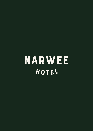**NARWEE** HOTEL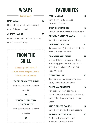## **WRAPS**

#### *Lunch Only*

#### **HAM WRAP 10**

Ham, lettuce, tomato, onion, carrot, mayo & Dijon mustard

#### **CHICKEN WRAP 10**

Grilled chicken, lettuce, tomato, onion,

carrot, cheese & Mayo

### **FROM THE GRILL**

*Choose your 1 side of sauce from Pepper, Diane, Mushroom or Gravy*

#### **200GM GRAIN FEED RUMP**

With chips & salad OR mash

& salad

 $\frac{1}{22}$ 



With chips & salad OR mash

& vegies

 $-35 -$ 

**FAVOURITES**

| <b>BEEF LASAGNE</b><br>15                 |
|-------------------------------------------|
| Served with I side of: chips              |
| OR salad OR mash                          |
| <b>SPICY BEEF NACHOS</b><br>15            |
| Served with sour cream & tomato salsa     |
| <b>CREAMY GARLIC PRAWNS</b><br>19         |
| Served with steamed rice                  |
| <b>CHICKEN SCHNITZEL</b><br>17            |
| (Panko crumbed) Served with 1 side of:    |
| chips OR salad OR mash                    |
| <b>CHICKEN PARMIGIANA</b><br>21           |
| Chicken Schnitzel topped with ham,        |
| roasted eggplant, nap sauce, cheese.      |
| Served with 1 choice of: chips OR         |
| salad OR mash                             |
| <b>FLATHEAD FILLET</b><br>17              |
| Beer battered fish served with chips,     |
| salad, lemon & tartare sauce              |
| <b>FISHERMAN'S BASKET</b><br>18           |
| Fish cocktail, prawn cocktail, crab       |
| cocktail, scallops & calamari served with |
| chips, salad, lemon wedge & tartare       |
| sauce                                     |
| <b>SALT &amp; PEPPER SQUIDS</b><br>16     |
| Served with aioli & Thai chilli dressing  |
| <b>GRILLED CHICKEN BREAST</b><br>17       |

Choice of 1 sauce with chips & salad OR mash & vegies